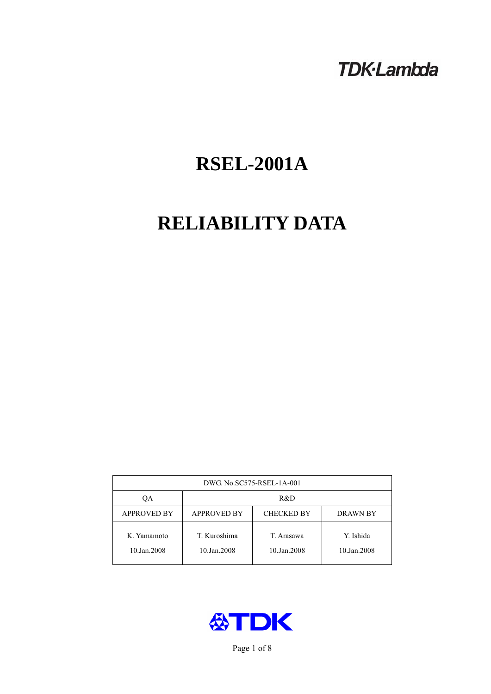# **TDK-Lambda**

# **RSEL-2001A**

# **RELIABILITY DATA**

| DWG. No.SC575-RSEL-1A-001  |                                                            |                           |                          |  |  |
|----------------------------|------------------------------------------------------------|---------------------------|--------------------------|--|--|
| ОA                         | R&D                                                        |                           |                          |  |  |
| <b>APPROVED BY</b>         | <b>APPROVED BY</b><br><b>CHECKED BY</b><br><b>DRAWN BY</b> |                           |                          |  |  |
| K. Yamamoto<br>10.Jan.2008 | T. Kuroshima<br>10.Jan.2008                                | T. Arasawa<br>10.Jan.2008 | Y. Ishida<br>10.Jan.2008 |  |  |



Page 1 of 8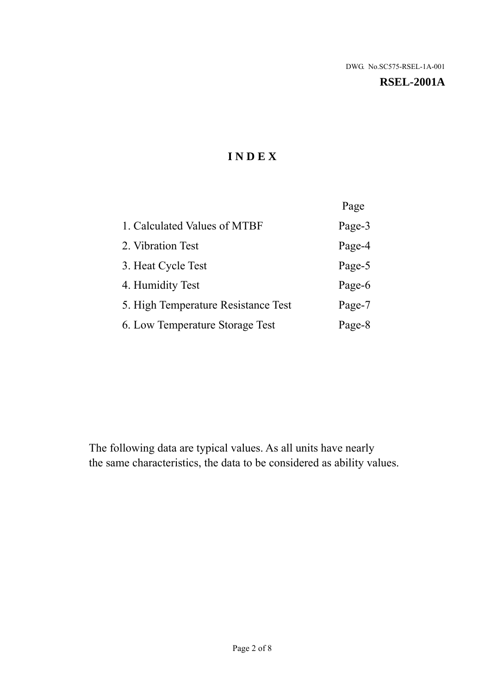#### **RSEL-2001A**

# **I N D E X**

|                                     | Page   |
|-------------------------------------|--------|
| 1. Calculated Values of MTBF        | Page-3 |
| 2. Vibration Test                   | Page-4 |
| 3. Heat Cycle Test                  | Page-5 |
| 4. Humidity Test                    | Page-6 |
| 5. High Temperature Resistance Test | Page-7 |
| 6. Low Temperature Storage Test     | Page-8 |

The following data are typical values. As all units have nearly the same characteristics, the data to be considered as ability values.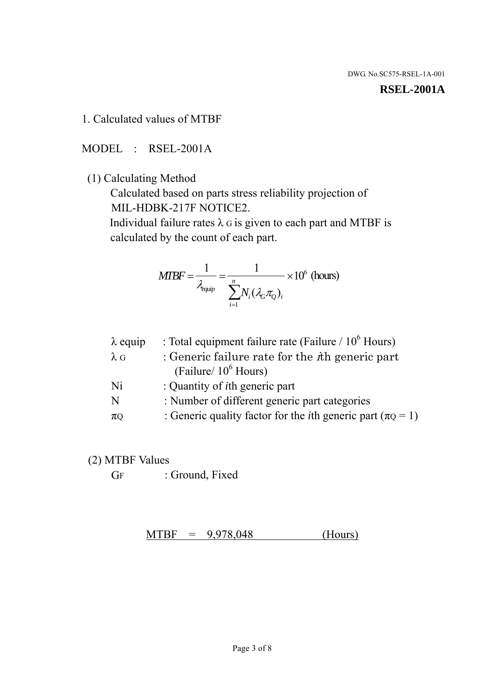#### **RSEL-2001A**

1. Calculated values of MTBF

MODEL : RSEL-2001A

(1) Calculating Method

 Calculated based on parts stress reliability projection of MIL-HDBK-217F NOTICE2.

Individual failure rates  $\lambda$  G is given to each part and MTBF is calculated by the count of each part.

$$
MTBF = \frac{1}{\lambda_{\text{equip}}} = \frac{1}{\sum_{i=1}^{n} N_i (\lambda_G \pi_Q)_i} \times 10^6 \text{ (hours)}
$$

| $\lambda$ equip | : Total equipment failure rate (Failure $/ 10^6$ Hours)                   |
|-----------------|---------------------------------------------------------------------------|
| $\lambda$ G     | : Generic failure rate for the $\hbar$ generic part                       |
|                 | (Failure/ $10^6$ Hours)                                                   |
| Ni              | : Quantity of <i>i</i> th generic part                                    |
| N               | : Number of different generic part categories                             |
| $\pi$ Q         | : Generic quality factor for the <i>i</i> th generic part ( $\pi Q = 1$ ) |

- (2) MTBF Values
	- GF : Ground, Fixed

 $MTBF = 9,978,048$  (Hours)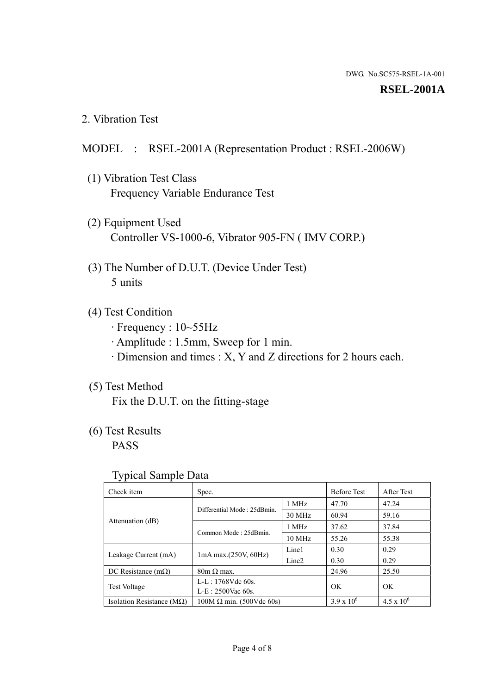#### **RSEL-2001A**

2. Vibration Test

### MODEL : RSEL-2001A (Representation Product : RSEL-2006W)

- (1) Vibration Test Class Frequency Variable Endurance Test
- (2) Equipment Used Controller VS-1000-6, Vibrator 905-FN ( IMV CORP.)
- (3) The Number of D.U.T. (Device Under Test) 5 units
- (4) Test Condition
	- · Frequency : 10~55Hz
	- · Amplitude : 1.5mm, Sweep for 1 min.
	- · Dimension and times : X, Y and Z directions for 2 hours each.

# (5) Test Method

Fix the D.U.T. on the fitting-stage

# (6) Test Results

PASS

#### Typical Sample Data

| . .                                |                                                         |                  |                     |                     |
|------------------------------------|---------------------------------------------------------|------------------|---------------------|---------------------|
| Check item                         | Spec.                                                   |                  | <b>Before Test</b>  | After Test          |
|                                    | Differential Mode: 25dBmin.                             | 1 MHz            | 47.70               | 47.24               |
|                                    |                                                         | 30 MHz           | 60.94               | 59.16               |
| Attenuation (dB)                   | Common Mode: 25dBmin.                                   | 1 MHz            | 37.62               | 37.84               |
|                                    |                                                         | $10 \text{ MHz}$ | 55.26               | 55.38               |
| Leakage Current (mA)               | Line1<br>$1mA$ max. $(250V, 60Hz)$<br>Line <sub>2</sub> |                  | 0.30                | 0.29                |
|                                    |                                                         |                  | 0.30                | 0.29                |
| DC Resistance $(m\Omega)$          | $80m \Omega$ max.                                       |                  | 24.96               | 25.50               |
| <b>Test Voltage</b>                | $L-L: 1768Vdc$ 60s.                                     |                  | OK                  | OK.                 |
|                                    | $L-E$ : 2500Vac 60s.                                    |                  |                     |                     |
| Isolation Resistance ( $M\Omega$ ) | $100M \Omega$ min. (500Vdc 60s)                         |                  | $3.9 \times 10^{6}$ | $4.5 \times 10^{6}$ |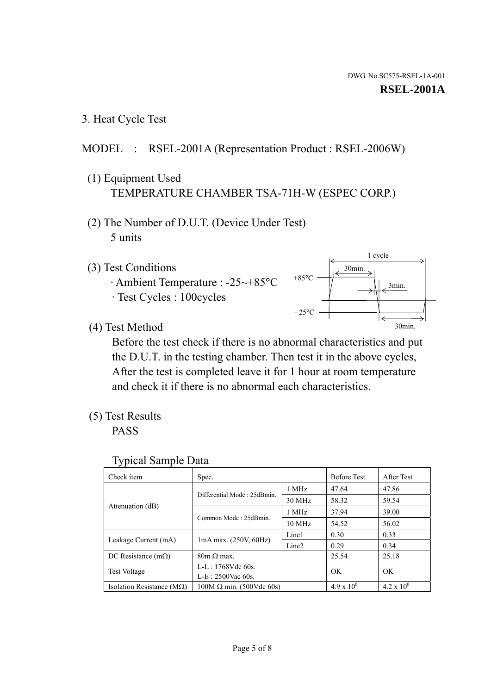1 cycle

30min.

3min.

30min.

3. Heat Cycle Test

# MODEL : RSEL-2001A (Representation Product : RSEL-2006W)

- (1) Equipment Used TEMPERATURE CHAMBER TSA-71H-W (ESPEC CORP.)
- (2) The Number of D.U.T. (Device Under Test) 5 units
- (3) Test Conditions
	- · Ambient Temperature : -25~+85°C · Test Cycles : 100cycles
- (4) Test Method

 Before the test check if there is no abnormal characteristics and put the D.U.T. in the testing chamber. Then test it in the above cycles, After the test is completed leave it for 1 hour at room temperature and check it if there is no abnormal each characteristics.

 $+85$ °C

 $-25^{\circ}$ C

(5) Test Results

PASS

| <b>Typical Sample Data</b> |  |  |
|----------------------------|--|--|
|----------------------------|--|--|

| Check item                    | Spec.                           |                   | <b>Before Test</b>  | After Test          |
|-------------------------------|---------------------------------|-------------------|---------------------|---------------------|
|                               | Differential Mode: 25dBmin.     | 1 MHz             | 47.64               | 47.86               |
|                               |                                 | 30 MHz            | 58.32               | 59.54               |
| Attenuation (dB)              | Common Mode: 25dBmin.           | 1 MHz             | 37.94               | 39.00               |
|                               |                                 | $10 \text{ MHz}$  | 54.52               | 56.02               |
|                               |                                 | Line1             | 0.30                | 0.33                |
| Leakage Current (mA)          | $1mA$ max. $(250V, 60Hz)$       | Line <sub>2</sub> | 0.29                | 0.34                |
| DC Resistance $(m\Omega)$     | $80m \Omega$ max.               |                   | 25.54               | 25.18               |
| <b>Test Voltage</b>           | $L-L: 1768Vdc$ 60s.             |                   | OK                  | <b>OK</b>           |
|                               | $L-E: 2500$ Vac 60s.            |                   |                     |                     |
| Isolation Resistance ( $MQ$ ) | $100M \Omega$ min. (500Vdc 60s) |                   | $4.9 \times 10^{6}$ | $4.2 \times 10^{6}$ |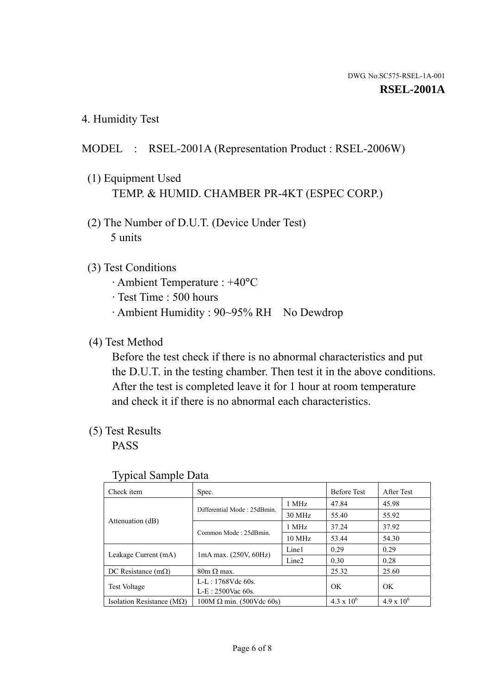4. Humidity Test

# MODEL : RSEL-2001A (Representation Product : RSEL-2006W)

- (1) Equipment Used TEMP. & HUMID. CHAMBER PR-4KT (ESPEC CORP.)
- (2) The Number of D.U.T. (Device Under Test) 5 units

# (3) Test Conditions

- · Ambient Temperature : +40°C
- · Test Time : 500 hours
- · Ambient Humidity : 90~95% RH No Dewdrop

# (4) Test Method

 Before the test check if there is no abnormal characteristics and put the D.U.T. in the testing chamber. Then test it in the above conditions. After the test is completed leave it for 1 hour at room temperature and check it if there is no abnormal each characteristics.

# (5) Test Results

PASS

| ╯┸                                 |                                 |                   |                     |                     |
|------------------------------------|---------------------------------|-------------------|---------------------|---------------------|
| Check item                         | Spec.                           |                   | <b>Before Test</b>  | After Test          |
|                                    | Differential Mode: 25dBmin.     | 1 MHz             | 47.84               | 45.98               |
|                                    |                                 | 30 MHz            | 55.40               | 55.92               |
| Attenuation (dB)                   | Common Mode: 25dBmin.           | 1 MHz             | 37.24               | 37.92               |
|                                    |                                 | 10 MHz            | 53.44               | 54.30               |
| Leakage Current (mA)               | $1mA$ max. $(250V, 60Hz)$       | Line1             | 0.29                | 0.29                |
|                                    |                                 | Line <sub>2</sub> | 0.30                | 0.28                |
| DC Resistance $(m\Omega)$          | $80m \Omega$ max.               |                   | 25.32               | 25.60               |
| <b>Test Voltage</b>                | $L-L: 1768Vdc$ 60s.             |                   | OK                  | OK                  |
|                                    | $L-E: 2500$ Vac 60s.            |                   |                     |                     |
| Isolation Resistance ( $M\Omega$ ) | $100M \Omega$ min. (500Vdc 60s) |                   | $4.3 \times 10^{6}$ | $4.9 \times 10^{6}$ |

#### Typical Sample Data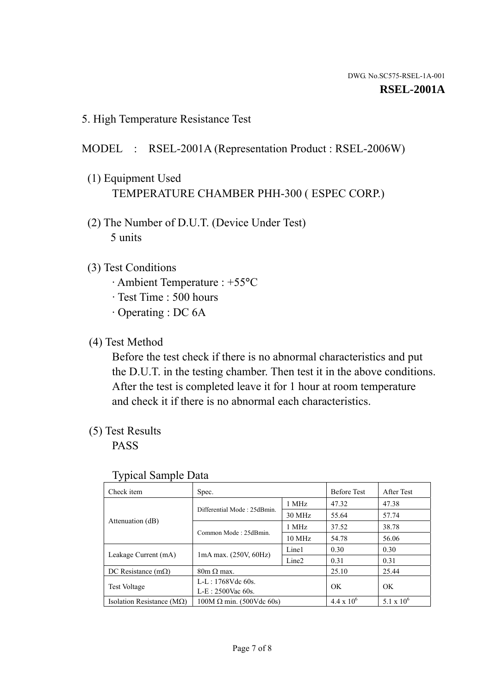5. High Temperature Resistance Test

### MODEL : RSEL-2001A (Representation Product : RSEL-2006W)

- (1) Equipment Used TEMPERATURE CHAMBER PHH-300 ( ESPEC CORP.)
- (2) The Number of D.U.T. (Device Under Test) 5 units
- (3) Test Conditions
	- · Ambient Temperature : +55°C
	- · Test Time : 500 hours
	- · Operating : DC 6A
- (4) Test Method

 Before the test check if there is no abnormal characteristics and put the D.U.T. in the testing chamber. Then test it in the above conditions. After the test is completed leave it for 1 hour at room temperature and check it if there is no abnormal each characteristics.

(5) Test Results

PASS

| ╯┸                                 |                                 |                   |                     |                     |
|------------------------------------|---------------------------------|-------------------|---------------------|---------------------|
| Check item                         | Spec.                           |                   | <b>Before Test</b>  | After Test          |
|                                    | Differential Mode: 25dBmin.     | 1 MHz             | 47.32               | 47.38               |
|                                    |                                 | 30 MHz            | 55.64               | 57.74               |
| Attenuation (dB)                   | Common Mode: 25dBmin.           | 1 MHz             | 37.52               | 38.78               |
|                                    |                                 | 10 MHz            | 54.78               | 56.06               |
| Leakage Current (mA)               | $1mA$ max. $(250V, 60Hz)$       | Line1             | 0.30                | 0.30                |
|                                    |                                 | Line <sub>2</sub> | 0.31                | 0.31                |
| DC Resistance $(m\Omega)$          | $80m \Omega$ max.               |                   | 25.10               | 25.44               |
| <b>Test Voltage</b>                | $L-L: 1768Vdc$ 60s.             |                   | OK                  | OK                  |
|                                    | $L-E: 2500$ Vac 60s.            |                   |                     |                     |
| Isolation Resistance ( $M\Omega$ ) | $100M \Omega$ min. (500Vdc 60s) |                   | $4.4 \times 10^{6}$ | $5.1 \times 10^{6}$ |

#### Typical Sample Data